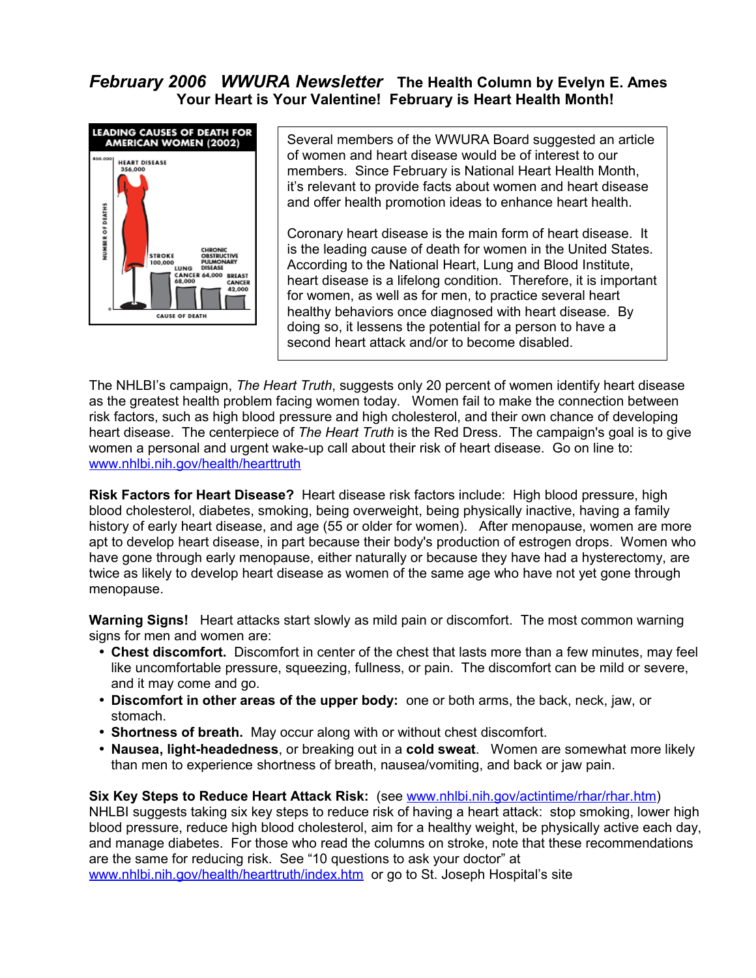## *February 2006 WWURA Newsletter* **The Health Column by Evelyn E. Ames Your Heart is Your Valentine! February is Heart Health Month!**



Several members of the WWURA Board suggested an article of women and heart disease would be of interest to our members. Since February is National Heart Health Month, it's relevant to provide facts about women and heart disease and offer health promotion ideas to enhance heart health.

Coronary heart disease is the main form of heart disease. It is the leading cause of death for women in the United States. According to the National Heart, Lung and Blood Institute, heart disease is a lifelong condition. Therefore, it is important for women, as well as for men, to practice several heart healthy behaviors once diagnosed with heart disease. By doing so, it lessens the potential for a person to have a second heart attack and/or to become disabled.

The NHLBI's campaign, *The Heart Truth*, suggests only 20 percent of women identify heart disease as the greatest health problem facing women today. Women fail to make the connection between risk factors, such as high blood pressure and high cholesterol, and their own chance of developing heart disease. The centerpiece of *The Heart Truth* is the Red Dress. The campaign's goal is to give women a personal and urgent wake-up call about their risk of heart disease. Go on line to: [www.nhlbi.nih.gov/health/hearttruth](http://www.nhlbi.nih.gov/health/hearttruth)

**Risk Factors for Heart Disease?** Heart disease risk factors include: High blood pressure, high blood cholesterol, diabetes, smoking, being overweight, being physically inactive, having a family history of early heart disease, and age (55 or older for women). After menopause, women are more apt to develop heart disease, in part because their body's production of estrogen drops. Women who have gone through early menopause, either naturally or because they have had a hysterectomy, are twice as likely to develop heart disease as women of the same age who have not yet gone through menopause.

**Warning Signs!** Heart attacks start slowly as mild pain or discomfort. The most common warning signs for men and women are:

- **Chest discomfort.** Discomfort in center of the chest that lasts more than a few minutes, may feel like uncomfortable pressure, squeezing, fullness, or pain. The discomfort can be mild or severe, and it may come and go.
- **Discomfort in other areas of the upper body:** one or both arms, the back, neck, jaw, or stomach.
- **Shortness of breath.** May occur along with or without chest discomfort.
- **Nausea, light-headedness**, or breaking out in a **cold sweat**. Women are somewhat more likely than men to experience shortness of breath, nausea/vomiting, and back or jaw pain.

## **Six Key Steps to Reduce Heart Attack Risk:** (see [www.nhlbi.nih.gov/actintime/rhar/rhar.htm\)](http://www.nhlbi.nih.gov/actintime/rhar/rhar.htm)

NHLBI suggests taking six key steps to reduce risk of having a heart attack: stop smoking, lower high blood pressure, reduce high blood cholesterol, aim for a healthy weight, be physically active each day, and manage diabetes. For those who read the columns on stroke, note that these recommendations are the same for reducing risk. See "10 questions to ask your doctor" at [www.nhlbi.nih.gov/health/hearttruth/index.htm](http://www.nhlbi.nih.gov/health/hearttruth/index.htm) or go to St. Joseph Hospital's site